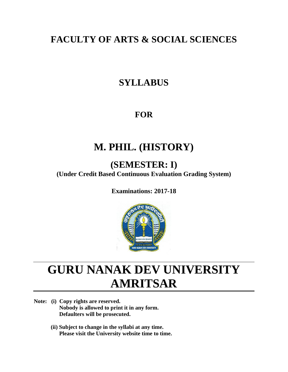# **FACULTY OF ARTS & SOCIAL SCIENCES**

# **SYLLABUS**

## **FOR**

# **M. PHIL. (HISTORY)**

# **(SEMESTER: I)**

**(Under Credit Based Continuous Evaluation Grading System)**

**Examinations: 2017-18**



# **GURU NANAK DEV UNIVERSITY AMRITSAR**

- **Note: (i) Copy rights are reserved. Nobody is allowed to print it in any form. Defaulters will be prosecuted.**
	- **(ii) Subject to change in the syllabi at any time. Please visit the University website time to time.**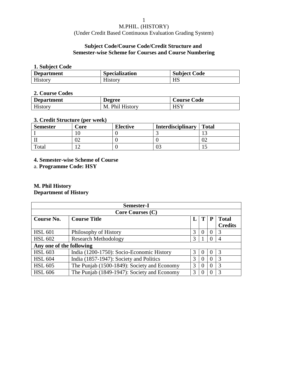(Under Credit Based Continuous Evaluation Grading System)

### **Subject Code/Course Code/Credit Structure and Semester-wise Scheme for Courses and Course Numbering**

### **1. Subject Code**

| <b>Department</b> | <b>Specialization</b> | <b>Subject Code</b> |
|-------------------|-----------------------|---------------------|
| History           | History               | <b>HS</b>           |

### **2. Course Codes**

| <b>Department</b> | <b>Degree</b>        | <b>Course Code</b> |
|-------------------|----------------------|--------------------|
| <b>History</b>    | . Phil History<br>M. | HSY                |

### **3. Credit Structure (per week)**

| <b>Semester</b> | Core | <b>Elective</b> | <b>Interdisciplinary</b> | <b>Total</b> |
|-----------------|------|-----------------|--------------------------|--------------|
|                 |      |                 |                          |              |
|                 | UZ   |                 |                          | ∪∠           |
| Total           |      |                 |                          | ⊥⊷           |

### **4. Semester-wise Scheme of Course**

a. **Programme Code: HSY**

### **M. Phil History Department of History**

| Semester-I               |                                             |   |          |   |                                |  |
|--------------------------|---------------------------------------------|---|----------|---|--------------------------------|--|
| <b>Core Courses (C)</b>  |                                             |   |          |   |                                |  |
| Course No.               | <b>Course Title</b>                         | L | T        | P | <b>Total</b><br><b>Credits</b> |  |
| <b>HSL 601</b>           | Philosophy of History                       | 3 | $\Omega$ |   | 3                              |  |
| <b>HSL 602</b>           | <b>Research Methodology</b>                 | 3 |          |   | 4                              |  |
| Any one of the following |                                             |   |          |   |                                |  |
| <b>HSL 603</b>           | India (1200-1750): Socio-Economic History   | 3 | $\theta$ |   | $\mathcal{R}$                  |  |
| <b>HSL 604</b>           | India (1857-1947): Society and Politics     | 3 | 0        |   | 3                              |  |
| <b>HSL 605</b>           | The Punjab (1500-1849): Society and Economy | 3 | 0        |   | 3                              |  |
| <b>HSL 606</b>           | The Punjab (1849-1947): Society and Economy | 3 |          |   | 3                              |  |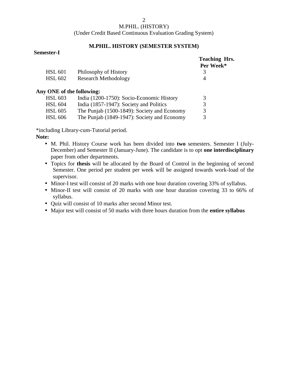(Under Credit Based Continuous Evaluation Grading System)

### **M.PHIL. HISTORY (SEMESTER SYSTEM)**

### **Semester-I**

|                           |                                             | <b>Teaching Hrs.</b><br>Per Week* |
|---------------------------|---------------------------------------------|-----------------------------------|
| <b>HSL 601</b>            | Philosophy of History                       | 3                                 |
| <b>HSL 602</b>            | <b>Research Methodology</b>                 | 4                                 |
| Any ONE of the following: |                                             |                                   |
| <b>HSL 603</b>            | India (1200-1750): Socio-Economic History   | 3                                 |
| <b>HSL 604</b>            | India (1857-1947): Society and Politics     | 3                                 |
| <b>HSL 605</b>            | The Punjab (1500-1849): Society and Economy | 3                                 |
| <b>HSL 606</b>            | The Punjab (1849-1947): Society and Economy | 3                                 |

\*including Library-cum-Tutorial period.

### **Note:**

- M. Phil. History Course work has been divided into **two** semesters. Semester I (July- December) and Semester II (January-June). The candidate is to opt **one interdisciplinary** paper from other departments.
- Topics for **thesis** will be allocated by the Board of Control in the beginning of second Semester. One period per student per week will be assigned towards work-load of the supervisor.
- Minor-I test will consist of 20 marks with one hour duration covering 33% of syllabus.
- Minor-II test will consist of 20 marks with one hour duration covering 33 to 66% of syllabus.
- Quiz will consist of 10 marks after second Minor test.
- Major test will consist of 50 marks with three hours duration from the **entire syllabus**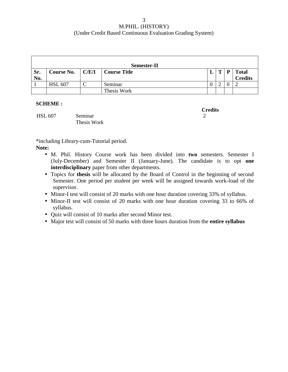| <b>Semester-II</b> |                              |  |              |  |              |   |                                |
|--------------------|------------------------------|--|--------------|--|--------------|---|--------------------------------|
| Sr.<br>No.         | Course No. $\mathcal{C}/E/I$ |  | Course Title |  | $\mathbf{T}$ | P | <b>Total</b><br><b>Credits</b> |
|                    | <b>HSL 607</b>               |  | Seminar      |  |              |   |                                |
|                    |                              |  | Thesis Work  |  |              |   |                                |

### **SCHEME :**

HSL 607 Seminar 2 Thesis Work

**Credits**

\*including Library-cum-Tutorial period.

### **Note:**

- M. Phil. History Course work has been divided into **two** semesters. Semester I (July-December) and Semester II (January-June). The candidate is to opt **one interdisciplinary** paper from other departments.
- Topics for **thesis** will be allocated by the Board of Control in the beginning of second Semester. One period per student per week will be assigned towards work-load of the supervisor.
- Minor-I test will consist of 20 marks with one hour duration covering 33% of syllabus.
- Minor-II test will consist of 20 marks with one hour duration covering 33 to 66% of syllabus.
- Quiz will consist of 10 marks after second Minor test.
- Major test will consist of 50 marks with three hours duration from the **entire syllabus**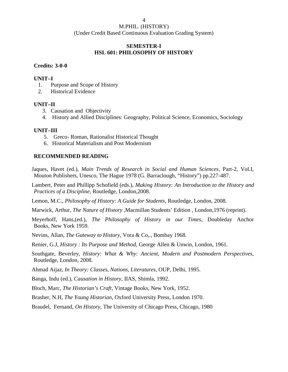### **SEMESTER-I HSL 601: PHILOSOPHY OF HISTORY**

### **Credits: 3-0-0**

### **UNIT–I**

- 1. Purpose and Scope of History
- 2. Historical Evidence

### **UNIT–II**

- 3. Causation and Objectivity
- 4. History and Allied Disciplines: Geography, Political Science, Economics, Sociology

### **UNIT–III**

- 5. Greco- Roman, Rationalist Historical Thought
- 6. Historical Materialism and Post Modernism

### **RECOMMENDED READING**

Jaques, Havet (ed.), *Main Trends of Research in Social and Human Sciences*, Part-2, Vol.I, Mouton Publishers, Unesco, The Hague 1978 (G. Barraclough, "History") pp.227-487.

Lambert, Peter and Phillipp Schofield (eds.), *Making History: An Introduction to the History and Practices of a Discipline*, Routledge, London,2008.

- Lemon, M.C., *Philosophy of History: A Guide for Students*, Routledge, London, 2008.
- Marwick, Arthur, *The Nature of History ,*Macmillan Students' Edition , London,1976 (reprint).

Meyerhoff, Hans,(ed.), *The Philosophy of History in our Times*, Doubleday Anchor Books, New York 1959.

- Nevins, Allan, *The Gateway to History*, Vora & Co,., Bombay 1968.
- Renier, G.J, *History : Its Purpose and Method,* George Allen & Unwin, London, 1961.
- Southgate, Beverley, *History: What & Why: Ancient, Modern and Postmodern Perspectives,* Routledge, London, 2008*.*
- Ahmad Aijaz, *In Theory: Classes, Nations, Literatures*, OUP, Delhi, 1995.

Banga, Indu (ed.), *Causation in History*, IIAS, Shimla, 1992.

Bloch, Marc, *The Historian's Craft*, Vintage Books, New York, 1952.

Brasher, N.H, *The Young Historian*, Oxford University Press, London 1970.

Braudel, Fernand, *On History*, The University of Chicago Press, Chicago, 1980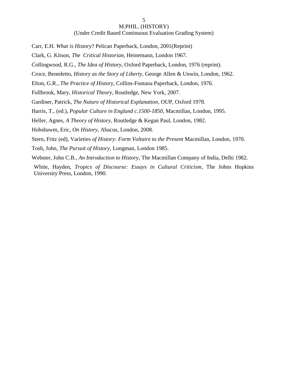(Under Credit Based Continuous Evaluation Grading System)

Carr, E.H. *What is History*? Pelican Paperback, London, 2001(Reprint)

Clark, G. Kitson, *The Critical Historian*, Heinemann, London 1967.

Collingwood, R.G., *The Idea of History*, Oxford Paperback, London, 1976 (reprint).

Croce, Benedetto, *History as the Story of Liberty*, George Allen & Unwin, London, 1962.

Elton, G.R., *The Practice of History*, Collins-Fontana Paperback, London, 1976.

Fullbrook, Mary, *Historical Theory*, Routledge, New York, 2007.

Gardiner, Patrick, *The Nature of Historical Explanation*, OUP, Oxford 1978.

Harris, T., (ed.), *Popular Culture in England c.1500-1850*, Macmillan, London, 1995.

Heller, Agnes, *A Theory of History,* Routledge & Kegan Paul*,* London, 1982*.*

Hobsbawm, Eric*, On History,* Abacus, London, 2008.

Stern, Fritz (ed), Varieties *of History: Form Voltaire to the Present* Macmillan, London, 1970.

Tosh, John, *The Pursuit of History*, Longman, London 1985.

Webster, John C.B., *An Introduction to History*, The Macmillan Company of India, Delhi 1982.

White, Hayden, *Tropics of Discourse: Essays in Cultural Criticism*, The Johns Hopkins University Press, London, 1990.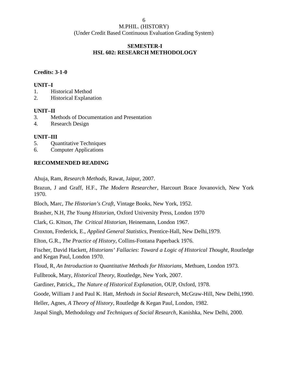### **SEMESTER-I HSL 602: RESEARCH METHODOLOGY**

### **Credits: 3-1-0**

### **UNIT–I**

- 1. Historical Method
- 2. Historical Explanation

### **UNIT–II**

- 3. Methods of Documentation and Presentation
- 4. Research Design

### **UNIT–III**

- 5. Quantitative Techniques
- 6. Computer Applications

### **RECOMMENDED READING**

Ahuja, Ram*, Research Methods*, Rawat, Jaipur, 2007.

Brazun, J and Graff, H.F., *The Modern Researcher*, Harcourt Brace Jovanovich, New York 1970.

Bloch, Marc, *The Historian's Craft*, Vintage Books, New York, 1952.

Brasher, N.H, *The Young Historian*, Oxford University Press, London 1970

Clark, G. Kitson, *The Critical Historian*, Heinemann, London 1967.

Croxton, Frederick, E., *Applied General Statistics*, Prentice-Hall, New Delhi,1979.

Elton, G.R., *The Practice of History*, Collins-Fontana Paperback 1976.

Fischer, David Hackett, *Historians' Fallacies*: *Toward a Logic of Historical Thought*, Routledge and Kegan Paul, London 1970.

Floud, R, *An Introduction to Quantitative Methods for Historians*, Methuen, London 1973.

Fullbrook, Mary, *Historical Theory*, Routledge, New York, 2007.

Gardiner, Patrick,, *The Nature of Historical Explanation*, OUP, Oxford, 1978.

Goode, William J and Paul K. Hatt, *Methods in Social Research,* McGraw-Hill, New Delhi,1990.

Heller, Agnes, *A Theory of History,* Routledge & Kegan Paul*,* London, 1982.

Jaspal Singh, Methodology *and Techniques of Social Research*, Kanishka, New Delhi, 2000.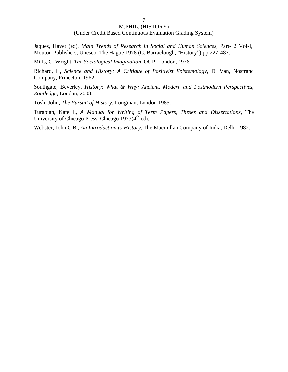#### (Under Credit Based Continuous Evaluation Grading System)

Jaques, Havet (ed), *Main Trends of Research in Social and Human Sciences*, Part- 2 Vol-I,. Mouton Publishers, Unesco, The Hague 1978 (G. Barraclough, "History") pp 227-487.

Mills, C. Wright, *The Sociological Imagination*, OUP, London, 1976.

Richard, H, *Science and History: A Critique of Positivist Epistemology,* D. Van, Nostrand Company, Princeton, 1962.

Southgate, Beverley, *History: What & Why: Ancient, Modern and Postmodern Perspectives, Routledge*, London, 2008*.*

Tosh, John, *The Pursuit of History*, Longman, London 1985.

Turabian, Kate L, *A Manual for Writing of Term Papers*, *Theses and Dissertations*, The University of Chicago Press, Chicago  $1973(4<sup>th</sup>$  ed).

Webster, John C.B., *An Introduction to History*, The Macmillan Company of India, Delhi 1982.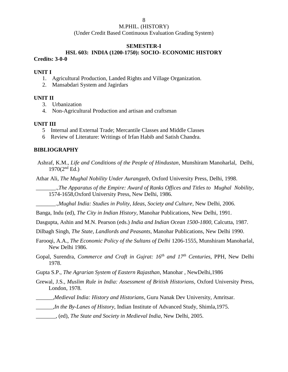(Under Credit Based Continuous Evaluation Grading System)

#### **SEMESTER-I**

### **HSL 603: INDIA (1200-1750): SOCIO- ECONOMIC HISTORY Credits: 3-0-0**

#### **UNIT I**

- 1. Agricultural Production, Landed Rights and Village Organization.
- 2. Mansabdari System and Jagirdars

#### **UNIT II**

- 3. Urbanization
- 4. Non-Agricultural Production and artisan and craftsman

### **UNIT III**

- 5 Internal and External Trade; Mercantile Classes and Middle Classes
- 6 Review of Literature: Writings of Irfan Habib and Satish Chandra.

#### **BIBLIOGRAPHY**

Ashraf, K.M., *Life and Conditions of the People of Hindustan*, Munshiram Manoharlal, Delhi,  $1970(2<sup>nd</sup> Ed.)$ 

Athar Ali, *The Mughal Nobility Under Aurangzeb*, Oxford University Press, Delhi, 1998.

\_\_\_\_\_\_\_.,*The Apparatus of the Empire: Award of Ranks Offices and Titles to Mughal Nobility*, 1574-1658,Oxford University Press, New Delhi, 1986.

\_\_\_\_\_\_\_.,*Mughal India: Studies in Polity, Ideas, Society and Culture*, New Delhi, 2006.

Banga, Indu (ed), *The City in Indian History*, Manohar Publications, New Delhi, 1991.

Dasgupta, Ashin and M.N. Pearson (eds.) *India and Indian Ocean 1500-1800*, Calcutta, 1987.

Dilbagh Singh, *The State, Landlords and Peasants*, Manohar Publications, New Delhi 1990.

- Farooqi, A.A., *The Economic Policy of the Sultans of Delhi* 1206-1555, Munshiram Manoharlal, New Delhi 1986.
- Gopal, Surendra, *Commerce and Craft in Gujrat: 16th and 17th Centuries*, PPH, New Delhi 1978.
- Gupta S.P., *The Agrarian System of Eastern Rajasthan*, Manohar , NewDelhi,1986
- Grewal, J.S*., Muslim Rule in India: Assessment of British Historians,* Oxford University Press, London, 1978.
- *\_\_\_\_\_\_,Medieval India: History and Historians*, Guru Nanak Dev University, Amritsar.
- \_\_\_\_\_\_,*In the By-Lanes of History*, Indian Institute of Advanced Study, Shimla,1975.
- \_\_\_\_\_\_\_, (ed), *The State and Society in Medieval India*, New Delhi, 2005.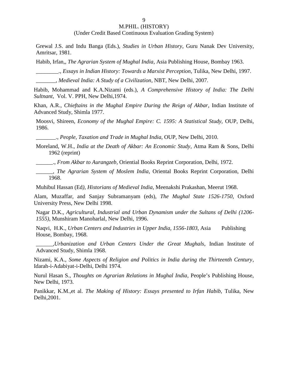(Under Credit Based Continuous Evaluation Grading System)

Grewal J.S. and Indu Banga (Eds.), *Studies in Urban History*, Guru Nanak Dev University, Amritsar, 1981.

Habib, Irfan,, *The Agrarian System of Mughal India*, Asia Publishing House, Bombay 1963.

\_\_\_\_\_\_\_\_., *Essays in Indian History: Towards a Marxist Perception*, Tulika, New Delhi, 1997.

\_\_\_\_\_\_\_, *Medieval India: A Study of a Civilization*, NBT, New Delhi, 2007.

Habib, Mohammad and K.A.Nizami (eds.), *A Comprehensive History of India: The Delhi Sultnant*, Vol. V. PPH, New Delhi,1974.

Khan, A.R., *Chieftains in the Mughal Empire During the Reign of Akbar*, Indian Institute of Advanced Study, Shimla 1977.

Moosvi, Shireen, *Economy of the Mughal Empire: C. 1595: A Statistical Study,* OUP, Delhi, 1986.

\_\_\_\_\_\_\_., *People, Taxation and Trade in Mughal India*, OUP, New Delhi, 2010.

Moreland, W.H., *India at the Death of Akbar: An Economic Study*, Atma Ram & Sons, Delhi 1962 (reprint)

\_\_\_\_\_\_., *From Akbar to Aurangzeb*, Oriential Books Reprint Corporation, Delhi, 1972.

\_\_\_\_\_\_, *The Agrarian System of Moslem India*, Oriental Books Reprint Corporation, Delhi 1968.

Muhibul Hassan (Ed*), Historians of Medieval India*, Meenakshi Prakashan, Meerut 1968.

Alam, Muzaffar, and Sanjay Subramanyam (eds), *The Mughal State 1526-1750,* Oxford University Press, New Delhi 1998.

Nagar D.K., *Agricultural, Industrial and Urban Dynamism under the Sultans of Delhi (1206- 1555)*, Munshiram Manoharlal, New Delhi, 1996.

Naqvi, H.K., *Urban Centers and Industries in Upper India, 1556-1803*, Asia Publishing House, Bombay, 1968.

*\_\_\_\_\_\_,Urbanization and Urban Centers Under the Great Mughals*, Indian Institute of Advanced Study, Shimla 1968.

Nizami, K.A., *Some Aspects of Religion and Politics in India during the Thirteenth Century*, Idarah-i-Adabiyat-i-Delhi, Delhi 1974.

Nurul Hasan S., *Thoughts on Agrarian Relations in Mughal India*, People's Publishing House, New Delhi, 1973.

Panikkar, K.M.,et al. *The Making of History: Essays presented to Irfan Habib,* Tulika, New Delhi,2001.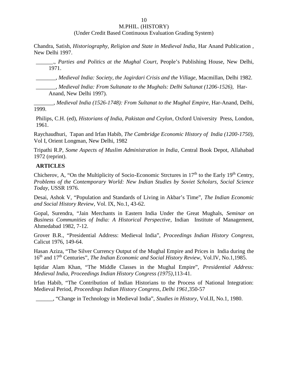(Under Credit Based Continuous Evaluation Grading System)

Chandra, Satish, *Historiography, Religion and State in Medieval India*, Har Anand Publication , New Delhi 1997.

\_\_\_\_\_\_., *Parties and Politics at the Mughal Court*, People's Publishing House, New Delhi, 1971.

\_\_\_\_\_\_\_, *Medieval India: Society, the Jagirdari Crisis and the Village,* Macmillan, Delhi 1982.

\_\_\_\_\_\_\_, *Medieval India: From Sultanate to the Mughals: Delhi Sultanat (1206-1526),* Har- Anand, New Delhi 1997).

\_\_\_\_\_\_\_, *Medieval India (1526-1748): From Sultanat to the Mughal Empire*, Har-Anand, Delhi, 1999.

Philips, C.H. (ed), *Historians of India, Pakistan and Ceylon*, Oxford University Press, London, 1961.

Raychaudhuri, Tapan and Irfan Habib, *The Cambridge Economic History of India (1200-1750)*, Vol I, Orient Longman, New Delhi, 1982

Tripathi R.P, *Some Aspects of Muslim Administration in India*, Central Book Depot, Allahabad 1972 (reprint).

### **ARTICLES**

Chicherov, A, "On the Multiplicity of Socio-Economic Strctures in  $17<sup>th</sup>$  to the Early  $19<sup>th</sup>$  Centry, *Problems of the Contemporary World: New Indian Studies by Soviet Scholars, Social Science Today*, USSR 1976.

Desai, Ashok V, "Population and Standards of Living in Akbar's Time", *The Indian Economic and Social History Review,* Vol. IX, No.1, 43-62.

Gopal, Surendra, "Jain Merchants in Eastern India Under the Great Mughals, *Seminar on Business Communities of India: A Historical Perspective*, Indian Institute of Management, Ahmedabad 1982, 7-12.

Grover B.R., "Presidential Address: Medieval India", *Proceedings Indian History Congress,* Calicut 1976, 149-64.

Hasan Aziza, "The Silver Currency Output of the Mughal Empire and Prices in India during the 16th and 17th Centuries", *The Indian Economic and Social History Review,* Vol.IV, No.1,1985.

Iqtidar Alam Khan, "The Middle Classes in the Mughal Empire", *Presidential Address: Medieval India, Proceedings Indian History Congress (1975)*,113-41.

Irfan Habib, "The Contribution of Indian Historians to the Process of National Integration: Medieval Period, *Proceedings Indian History Congress, Delhi 1961*,350-57

\_\_\_\_\_\_, "Change in Technology in Medieval India", *Studies in History*, Vol.II, No.1, 1980.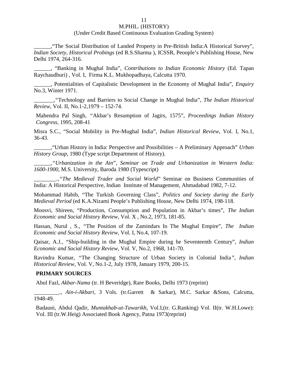#### (Under Credit Based Continuous Evaluation Grading System)

\_\_\_\_\_\_,"The Social Distribution of Landed Property in Pre-British India:A Historical Survey", *Indian Society, Historical Probings* (ed R.S.Sharma ), ICSSR, Peoople's Publishing House, New Delhi 1974, 264-316.

\_\_\_\_\_\_, "Banking in Mughal India", *Contributions to Indian Economic History* (Ed. Tapan Raychaudhuri) , Vol. I, Firma K.L. Mukhopadhaya, Calcutta 1970.

*\_\_\_\_\_\_,* Potentialities of Capitalistic Development in the Economy of Mughal India", *Enquiry* No.3, Winter 1971.

*\_\_\_\_\_\_\_,"*Technology and Barriers to Social Change in Mughal India", *The Indian Historical Review,* Vol. II, No.1-2,1979 – 152-74.

Mahendra Pal Singh, *"*Akbar's Resumption of Jagirs, 1575", *Proceedings Indian History Congress,* 1995, 208-41

Misra S.C., "Social Mobility in Pre-Mughal India", *Indian Historical Review*, Vol. I, No.1, 36-43.

\_\_\_\_\_\_,"Urban History in India: Perspective and Possibilities – A Preliminary Approach" *Urban History Group*, 1980 (Type script Department of History).

*\_\_\_\_\_\_,"Urbanization in the Ain*", *Seminar on Trade and Urbanization in Western India: 1600-1900,* M.S. University, Baroda 1980 (Typescript)

*\_\_\_\_\_\_\_\_.,"The Medieval Trader and Social World*" Seminar on Business Communities of India: A Historical Perspective, Indian Institute of Management, Ahmadabad 1982, 7-12.

Mohammad Habib, "The Turkish Governing Class", *Politics and Society during the Early Medieval Period* (ed K.A.Nizami People's Publishing House, New Delhi 1974, 198-118.

Moosvi, Shireen, "Production, Consumption and Population in Akbar's times", *The Indian Economic and Social History Review*, Vol. X , No.2, 1973, 181-85.

Hassan, Nurul , S., *"*The Position of the Zamindars In The Mughal Empire", *The Indian Economic and Social History Review,* Vol. I, No.4, 107-19.

Qaisar, A.J*.,* "Ship-building in the Mughal Empire during he Seventeenth Century", *Indian Economic and Social History Review*, Vol. V, No.2, 1968, 141-70.

Ravindra Kumar, *"*The Changing Structure of Urban Society in Colonial India*", Indian Historical Review*, Vol. V, No.1-2, July 1978, January 1979, 200-15.

#### **PRIMARY SOURCES**

Abul Fazl, *Akbar-Nama* (tr. H Beveridge), Rare Books, Delhi 1973 (reprint)

\_\_\_\_\_\_\_\_\_., *Ain-i-Akbari*, 3 Vols. (tr.Garrett & Sarkar), M.C. Sarkar &Sons, Calcutta, 1948-49.

Badauni, Abdul Qadir, *Muntakhab-ut-Tawarikh*, Vol.I,(tr. G.Ranking) Vol. II(tr. W.H.Lowe): Vol. III (tr.W.Heig) Associated Book Agency, Patna 1973(reprint)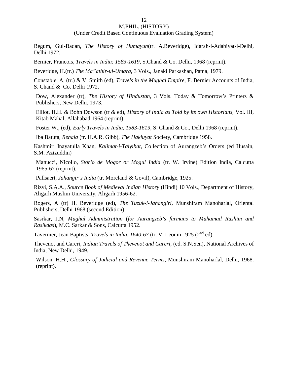(Under Credit Based Continuous Evaluation Grading System)

Begum, Gul-Badan, *The History of Humayun*(tr. A.Beveridge), Idarah-i-Adabiyat-i-Delhi, Delhi 1972.

Bernier, Francois, *Travels in India: 1583-1619*, S.Chand & Co. Delhi, 1968 (reprint).

Beveridge, H.(tr.) *The Ma"athir-ul-Umara*, 3 Vols., Janaki Parkashan, Patna, 1979.

Constable. A, (tr.) & V. Smith (ed), *Travels in the Mughal Empire,* F. Bernier Accounts of India, S. Chand & Co. Delhi 1972.

Dow, Alexander (tr), *The History of Hindustan*, 3 Vols. Today & Tomorrow's Printers & Publishers, New Delhi, 1973.

Elliot, H.H. & Bohn Dowson (tr & ed), *History of India as Told by its own Historians,* Vol. III, Kitab Mahal, Allahabad 1964 (reprint).

Foster W., (ed), *Early Travels in India, 1583-1619*, S. Chand & Co., Delhi 1968 (reprint).

Iba Batuta, *Rehala* (tr. H.A.R. Gibb), *The Hakluyat* Society, Cambridge 1958.

Kashmiri Inayatulla Khan, *Kalimat-i-Taiyibat*, Collection of Aurangzeb's Orders (ed Husain, S.M. Azizuddin)

Manucci, Nicollo, *Storio de Mogor or Mogul India* (tr. W. Irvine) Edition India, Calcutta 1965-67 (reprint).

Pallsaert, *Jahangir's India* (tr. Moreland & Govil), Cambridge, 1925.

Rizvi, S.A.A., *Source Book of Medieval Indian History* (Hindi) 10 Vols., Department of History, Aligarh Muslim University, Aligarh 1956-62.

Rogers, A (tr) H. Beveridge (ed), *The Tuzuk-i-Jahangiri,* Munshiram Manoharlal, Oriental Publishers, Delhi 1968 (second Edition).

Sasrkar, J.N, *Mughal Administration* (*for Aurangzeb's farmans to Muhamad Rashim and Rasikdas*), M.C. Sarkar & Sons, Calcutta 1952.

Tavernier, Jean Baptists, *Travels in India, 1640-67* (tr. V. Leonin 1925 (2nd ed)

Thevenot and Careri, *Indian Travels of Thevenot and Careri,* (ed. S.N.Sen), National Archives of India, New Delhi, 1949.

Wilson, H.H., *Glossary of Judicial and Revenue Terms*, Munshiram Manoharlal, Delhi, 1968. (reprint).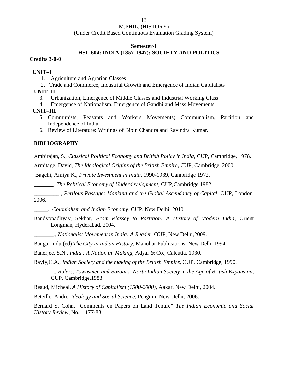(Under Credit Based Continuous Evaluation Grading System)

### **Semester-I**

### **HSL 604: INDIA (1857-1947): SOCIETY AND POLITICS**

### **Credits 3-0-0**

### **UNIT–I**

- 1. Agriculture and Agrarian Classes
- 2. Trade and Commerce, Industrial Growth and Emergence of Indian Capitalists

### **UNIT–II**

- 3. Urbanization, Emergence of Middle Classes and Industrial Working Class
- 4. Emergence of Nationalism, Emergence of Gandhi and Mass Movements

### **UNIT–III**

- 5. Communists, Peasants and Workers Movements; Communalism, Partition and Independence of India.
- 6. Review of Literature: Writings of Bipin Chandra and Ravindra Kumar.

### **BIBLIOGRAPHY**

Ambirajan, S., *Classical Political Economy and British Policy in India*, CUP, Cambridge, 1978.

Armitage, David, *The Ideological Origins of the British Empire*, CUP, Cambridge, 2000.

Bagchi, Amiya K., *Private Investment in India*, 1990-1939, Cambridge 1972.

\_\_\_\_\_\_\_, *The Political Economy of Underdevelopment*, CUP,Cambridge,1982.

\_\_\_\_\_\_\_\_\_., *Perilous Passage: Mankind and the Global Ascendancy of Capital*, OUP, London, 2006.

\_\_\_\_\_., *Colonialism and Indian Economy*, CUP, New Delhi, 2010.

Bandyopadhyay, Sekhar, *From Plassey to Partition: A History of Modern India*, Orient Longman, Hyderabad, 2004.

\_\_\_\_\_\_\_., *Nationalist Movement in India: A Reader*, OUP, New Delhi,2009.

Banga, Indu (ed) *The City in Indian History*, Manohar Publications, New Delhi 1994.

Banerjee, S.N., *India : A Nation in Making,* Adyar & Co., Calcutta, 1930.

Bayly,C.A., *Indian Society and the making of the British Empire*, CUP, Cambridge, 1990.

\_\_\_\_\_\_\_., *Rulers, Townsmen and Bazaars: North Indian Society in the Age of British Expansion*, CUP, Cambridge,1983.

Beaud, Micheal, *A History of Capitalism (1500-2000),* Aakar, New Delhi, 2004.

Beteille, Andre*, Ideology and Social Science*, Penguin, New Delhi, 2006.

Bernard S. Cohn, "Comments on Papers on Land Tenure" *The Indian Economic and Social History Review*, No.1, 177-83.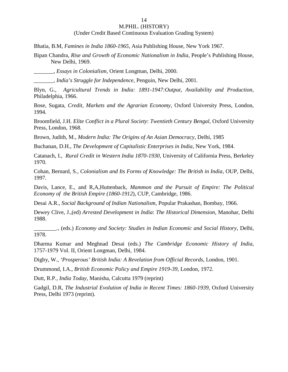### 14

### M.PHIL. (HISTORY)

(Under Credit Based Continuous Evaluation Grading System)

Bhatia, B.M, *Famines in India 1860-1965*, Asia Publishing House, New York 1967.

Bipan Chandra, *Rise and Growth of Economic Nationalism in India*, People's Publishing House, New Delhi, 1969.

\_\_\_\_\_\_\_, *Essays in Colonialism*, Orient Longman, Delhi, 2000.

\_\_\_\_\_\_\_, *India's Struggle for Independence,* Penguin, New Delhi, 2001.

Blyn, G., *Agricultural Trends in India: 1891-1947:Output, Availability and Production,* Philadelphia, 1966.

Bose, Sugata, *Credit, Markets and the Agrarian Economy*, Oxford University Press, London, 1994.

Broomfield, J.H. *Elite Conflict in a Plural Society*: *Twentieth Century Bengal,* Oxford University Press, London, 1968.

Brown, Judith, M., *Modern India: The Origins of An Asian Democracy*, Delhi, 1985

Buchanan, D.H., *The Development of Capitalistic Enterprises in India,* New York, 1984.

Catanach, I., *Rural Credit in Western India 1870-1930*, University of California Press, Berkeley 1970.

Cohan, Bernard, S., *Colonialism and Its Forms of Knowledge: The British in India*, OUP, Delhi, 1997.

Davis, Lance, E., and R,A,Huttenback*, Mammon and the Pursuit of Empire: The Political Economy of the British Empire (1860-1912*), CUP, Cambridge, 1986.

Desai A.R., *Social Background of Indian Nationalism,* Popular Prakashan, Bombay, 1966.

Dewey Clive, J.,(ed) *Arrested Development in India*: *The Historical Dimension*, Manohar, Delhi 1988.

\_\_\_\_\_\_\_\_., (eds.) *Economy and Society: Studies in Indian Economic and Social History*, Delhi, 1978.

Dharma Kumar and Meghnad Desai (eds.) *The Cambridge Economic History of India,* 1757-1979 Vol. II, Orient Longman, Delhi, 1984.

Digby, W., *'Prosperous' British India: A Revelation from Official Records*, London, 1901.

Drummond, I.A., *British Economic Policy and Empire 1919-39,* London, 1972.

Dutt, R.P*., India Today*, Manisha, Calcutta 1979 (reprint)

Gadgil, D.R, *The Industrial Evolution of India in Recent Times: 1860-1939*, Oxford University Press, Delhi 1973 (reprint).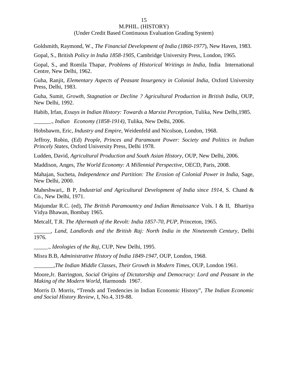### (Under Credit Based Continuous Evaluation Grading System)

Goldsmith, Raymond, W., *The Financial Development of India (1860-1977*), New Haven, 1983.

Gopal, S., British *Policy in India 1858-1905*, Cambridge University Press, London, 1965.

Gopal, S., and Romila Thapar*, Problems of Historical Writings in India*, India International Centre, New Delhi, 1962.

Guha, Ranjit, *Elementary Aspects of Peasant Insurgency in Colonial India,* Oxford University Press, Delhi, 1983.

Guha, Sumit, *Growth, Stagnation or Decline ? Agricultural Production in British India*, OUP, New Delhi, 1992.

Habib, Irfan, *Essays in Indian History: Towards a Marxist Perception*, Tulika, New Delhi,1985.

*\_\_\_\_\_\_., Indian Economy (1858-1914),* Tulika, New Delhi, 2006.

Hobsbawm, Eric, *Industry and Empire*, Weidenfeld and Nicolson, London, 1968.

Jeffroy, Robin, (Ed) *People, Princes and Paramount Power: Society and Politics in Indian Princely States*, Oxford University Press, Delhi 1978.

Ludden, David, *Agricultural Production and South Asian History*, OUP, New Delhi, 2006.

Maddison, Anges, *The World Economy: A Millennial Perspective*, OECD, Paris, 2008.

Mahajan, Sucheta, *Independence and Partition: The Erosion of Colonial Power in India,* Sage, New Delhi, 2000.

Maheshwari,. B P, *Industrial and Agricultural Development of India since 1914*, S. Chand & Co., New Delhi, 1971.

Majumdar R.C. (ed), *The British Paramountcy and Indian Renaissance* Vols. I & II, Bhartiya Vidya Bhawan, Bombay 1965.

Metcalf, T.R. *The Aftermath of the Revolt: India 1857-70, PUP,* Princeton, 1965.

\_\_\_\_\_\_, *Land, Landlords and the British Raj: North India in the Nineteenth Century*, Delhi 1976.

\_\_\_\_\_., *Ideologies of the Raj*, CUP, New Delhi, 1995.

Misra B.B, *Administrative History of India 1849-1947*, OUP, London, 1968.

*\_\_\_\_\_\_\_,The Indian Middle Classes*, *Their Growth in Modern Times*, OUP, London 1961.

Moore,Jr. Barrington, *Social Origins of Dictatorship and Democracy: Lord and Peasant in the Making of the Modern World*, Harmonds 1967.

Morris D. Morris, "Trends and Tendencies in Indian Economic History", *The Indian Economic and Social History Review,* I, No.4, 319-88.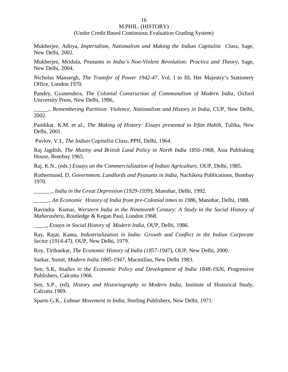#### (Under Credit Based Continuous Evaluation Grading System)

Mukherjee, Aditya, *Imperialism, Nationalism and Making the Indian Capitalist Class,* Sage, New Delhi, 2002.

Mukherjee, Mridula, *Peasants in India's Non-Violent Revolution: Practice and Theory,* Sage, New Delhi, 2004.

Nicholas Mansergh, *The Transfer of Power 1942-47,* Vol. I to III, Her Majestry's Stationery Office, London 1970.

Pandey, Gyanendera, *The Colonial Construction of Communalism of Modern India*, Oxford University Press, New Delhi, 1996,

\_\_\_\_\_., *Remembering Partition: Violence, Nationalism and History in India*, CUP, New Delhi, 2002.

Panikkar, K.M. et al., *The Making of History: Essays presented to Irfan Habib*, Tulika, New Delhi, 2001.

Pavlov, V.I., *The Indian Capitalist Class*, PPH, Delhi, 1964.

Raj Jagdish, *The Mutiny and British Land Policy in North India 1856-1968*, Asia Publishing House, Bombay 1965.

Raj, K.N., (eds.) *Essays on the Commercialization of Indian Agriculture*, OUP, Delhi, 1985.

Rothermund, D, *Government. Landlords and Peasants in India*, Nachiketa Publications, Bombay 1970.

*\_\_\_\_\_\_., India in the Great Depression (1929-1939*), Manohar, Delhi, 1992.

\_\_\_\_\_., *An Economic History of India from pre-Colonial times to 1986*, Manohar, Delhi, 1988.

Ravindra Kumar, *Werstern India in the Nineteenth Century: A Study in the Social History of Maharashtra,* Routledge & Kegan Paul, London 1968.

\_\_\_\_., *Essays in Social History of Modern India,* OUP, Delhi, 1986.

Ray, Rajat, Kanta, *Industrialization in India: Growth and Conflict in the Indian Corporate Sector (1914-47),* OUP, New Delhi, 1979.

Roy, Tirthankar, *The Economic History of India (1857-1947),* OUP, New Delhi, 2000.

Sarkar, Sumit*, Modern India 1885-1947*, Macmillan, New Delhi 1983.

Sen, S.K, *Studies in the Economic Policy and Development of India 1848-1926,* Progressive Publishers, Calcutta 1966.

Sen, S.P., (ed), *History and Historiography in Modern India*, Institute of Historical Study, Calcutta 1969.

Sparm G.K., *Labour Movement in India*, Sterling Publishers, New Delhi, 1971.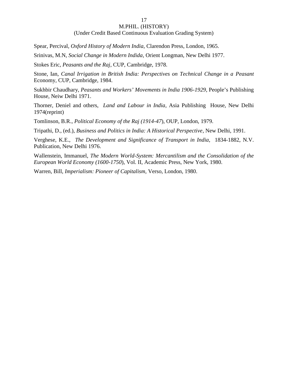#### 17

### M.PHIL. (HISTORY)

#### (Under Credit Based Continuous Evaluation Grading System)

Spear, Percival, *Oxford History of Modern India*, Clarendon Press, London, 1965.

Srinivas, M.N, *Social Change in Modern Indida*, Orient Longman, New Delhi 1977.

Stokes Eric, *Peasants and the Raj*, CUP, Cambridge, 1978.

Stone, Ian, *Canal Irrigation in British India: Perspectives on Technical Change in a Peasant* Economy*,* CUP, Cambridge, 1984.

Sukhbir Chaudhary, *Peasants and Workers' Movements in India 1906-1929*, People's Publishing House, Neiw Delhi 1971.

Thorner, Deniel and others, *Land and Labour in India*, Asia Publishing House, New Delhi 1974(reprint)

Tomlinson, B.R., *Political Economy of the Raj (1914-47*), OUP, London, 1979.

Tripathi, D., (ed.), *Business and Politics in India: A Historical Perspective*, New Delhi, 1991.

Verghese, K.E., *The Development and Significance of Transport in India*, 1834-1882, N.V. Publication, New Delhi 1976.

Wallenstein, Immanuel, *The Modern World-System: Mercantilism and the Consolidation of the European World Economy (1600-1750*), Vol. II, Academic Press, New York, 1980.

Warren, Bill, *Imperialism: Pioneer of Capitalism*, Verso, London, 1980.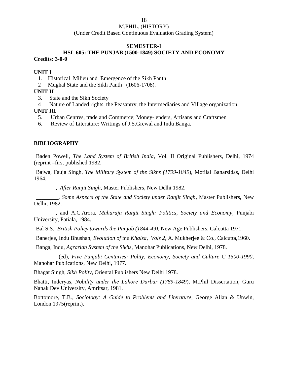(Under Credit Based Continuous Evaluation Grading System)

### **SEMESTER-I**

### **HSL 605: THE PUNJAB (1500-1849) SOCIETY AND ECONOMY Credits: 3-0-0**

### **UNIT I**

- 1. Historical Milieu and Emergence of the Sikh Panth
- 2 Mughal State and the Sikh Panth (1606-1708).

### **UNIT II**

- 3. State and the Sikh Society
- 4 Nature of Landed rights, the Peasantry, the Intermediaries and Village organization.

### **UNIT III**

- 5. Urban Centres, trade and Commerce; Money-lenders, Artisans and Craftsmen
- 6. Review of Literature: Writings of J.S.Grewal and Indu Banga.

### **BIBLIOGRAPHY**

Baden Powell, *The Land System of British India*, Vol. II Original Publishers, Delhi, 1974 (reprint –first published 1982.

Bajwa, Fauja Singh, *The Military System of the Sikhs (1799-1849*), Motilal Banarsidas, Delhi 1964.

\_\_\_\_\_\_\_, *After Ranjit Singh*, Master Publishers, New Delhi 1982.

\_\_\_\_\_\_\_\_, *Some Aspects of the State and Society under Ranjit Singh*, Master Publishers, New Delhi, 1982.

\_\_\_\_\_\_\_, and A.C.Arora, *Maharaja Ranjit Singh: Politics, Society and Economy*, Punjabi University, Patiala, 1984.

Bal S.S., *British Policy towards the Punjab (1844-49)*, New Age Publishers, Calcutta 1971.

Banerjee, Indu Bhushan, *Evolution of the Khalsa, Vols 2*, A. Mukherjee & Co., Calcutta,1960.

Banga, Indu, *Agrarian System of the Sikhs*, Manohar Publications, New Delhi, 1978.

\_\_\_\_\_\_\_\_ (ed), *Five Punjabi Centuries: Polity, Economy, Society and Culture C 1500-1990*, Manohar Publications, New Delhi, 1977.

Bhagat Singh, *Sikh Polity*, Oriental Publishers New Delhi 1978.

Bhatti, Inderyas, *Nobility under the Lahore Darbar (1789-1849*), M.Phil Dissertation, Guru Nanak Dev University, Amritsar, 1981.

Bottomore, T.B., *Sociology: A Guide to Problems and Literature*, George Allan & Unwin, London 1975(reprint).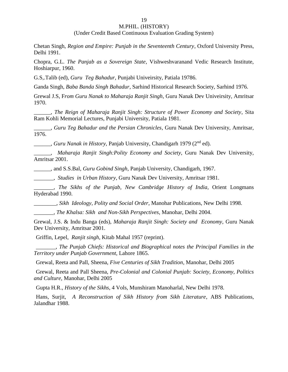(Under Credit Based Continuous Evaluation Grading System)

Chetan Singh, *Region and Empire: Punjab in the Seventeenth Century*, Oxford University Press, Delhi 1991.

Chopra, G.L. *The Panjab as a Sovereign State*, Vishweshvaranand Vedic Research Institute, Hoshiarpur, 1960.

G.S,.Talib (ed), *Guru Teg Bahadur*, Punjabi Univeirsity, Patiala 19786.

Ganda Singh, *Baba Banda Singh Bahadur*, Sarhind Historical Research Society, Sarhind 1976.

Grewal J.S, F*rom Guru Nanak to Maharaja Ranjit Singh*, Guru Nanak Dev Univeirsity, Amritsar 1970.

\_\_\_\_\_\_, *The Reign of Maharaja Ranjit Singh: Structure of Power Economy and Society*, Sita Ram Kohli Memorial Lectures, Punjabi University, Patiala 1981.

\_\_\_\_\_\_, *Guru Teg Bahadur and the Persian Chronicles*, Guru Nanak Dev University, Amritsar, 1976.

\_\_\_\_\_\_, *Guru Nanak in History,* Panjab University, Chandigarh 1979 (2nd ed).

\_\_\_\_\_\_, *Maharaja Ranjit Singh:Polity Economy and Society*, Guru Nanak Dev University, Amritsar 2001.

\_\_\_\_\_\_, and S.S.Bal, *Guru Gobind Singh*, Panjab University, Chandigarh, 1967.

\_\_\_\_\_\_\_, *Studies in Urban History*, Guru Nanak Dev University, Amritsar 1981.

\_\_\_\_\_\_\_, *The Sikhs of the Punjab*, *New Cambridge History of India*, Orient Longmans Hyderabad 1990.

\_\_\_\_\_\_\_\_, *Sikh Ideology*, *Polity and Social Order*, Manohar Publications, New Delhi 1998.

\_\_\_\_\_\_\_, *The Khalsa: Sikh and Non-Sikh Perspectives*, Manohar, Delhi 2004.

Grewal, J.S. & Indu Banga (eds), *Maharaja Ranjit Singh: Society and Economy*, Guru Nanak Dev University, Amritsar 2001.

Griffin, Lepel, *Ranjit singh*, Kitab Mahal 1957 (reprint).

\_\_\_\_\_\_\_, *The Punjab Chiefs: Historical and Biographical notes the Principal Families in the Territory under Punjab Government*, Lahore 1865.

Grewal, Reeta and Pall, Sheena, *Five Centuries of Sikh Tradition*, Manohar, Delhi 2005

Grewal, Reeta and Pall Sheena, *Pre-Colonial and Colonial Punjab: Society, Economy, Politics and Culture,* Manohar, Delhi 2005

Gupta H.R., *History of the Sikhs*, 4 Vols, Munshiram Manoharlal, New Delhi 1978.

Hans, Surjit, *A Reconstruction of Sikh History from Sikh Literature*, ABS Publications, Jalandhar 1988.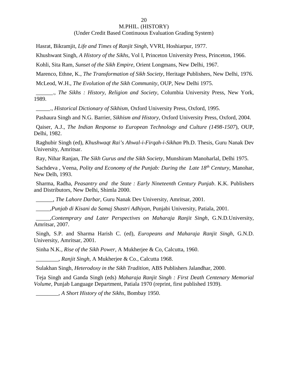#### 20

### M.PHIL. (HISTORY)

(Under Credit Based Continuous Evaluation Grading System)

Hasrat, Bikramjit, *Life and Times of Ranjit Singh*, VVRI, Hoshiarpur, 1977.

Khushwant Singh, *A History of the Sikhs*, Vol I, Princeton University Press, Princeton, 1966.

Kohli, Sita Ram, *Sunset of the Sikh Empire*, Orient Longmans, New Delhi, 1967.

Marenco, Ethne, K., *The Transformation of Sikh Society*, Heritage Publishers, New Delhi, 1976.

McLeod, W.H., *The Evolution of the Sikh Community*, OUP, New Delhi 1975.

\_\_\_\_\_\_., *The Sikhs : History, Religion and Society*, Columbia University Press, New York, 1989.

\_\_\_\_\_., *Historical Dictionary of Sikhism,* Oxford University Press, Oxford, 1995.

Pashaura Singh and N.G. Barrier, *Sikhism and History*, Oxford University Press, Oxford, 2004.

Qaiser, A.J., *The Indian Response to European Technology and Culture (1498-1507*), OUP, Delhi, 1982.

Raghubir Singh (ed), *Khushwaqt Rai's Ahwal-i-Firqah-i-Sikhan* Ph.D. Thesis, Guru Nanak Dev University, Amritsar.

Ray, Nihar Ranjan, *The Sikh Gurus and the Sikh Society*, Munshiram Manoharlal, Delhi 1975.

Sachdeva , Veena, *Polity and Economy of the Punjab: During the Late 18th Century*, Manohar, New Delh, 1993.

Sharma, Radha, *Peasantry and the State : Early Nineteenth Century Punjab*. K.K. Publishers and Distributors, New Delhi, Shimla 2000.

\_\_\_\_\_\_, *The Lahore Darbar,* Guru Nanak Dev University, Amritsar, 2001.

\_\_\_\_\_,*Punjab di Kisani da Samaj Shastri Adhiyan*, Punjabi University, Patiala, 2001.

\_\_\_\_\_,*Contemprary and Later Perspectives on Maharaja Ranjit Singh*, G.N.D.University, Amritsar, 2007.

Singh, S.P. and Sharma Harish C. (ed), *Europeans and Maharaja Ranjit Singh*, G.N.D. University, Amritsar, 2001.

Sinha N.K., *Rise of the Sikh Power*, A Mukherjee & Co, Calcutta, 1960.

\_\_\_\_\_\_\_\_, *Ranjit Singh*, A Mukherjee & Co., Calcutta 1968.

Sulakhan Singh, *Heterodoxy in the Sikh Tradition,* ABS Publishers Jalandhar, 2000.

Teja Singh and Ganda Singh (eds) *Maharaja Ranjit Singh : First Death Centenary Memorial Volume*, Punjab Language Department, Patiala 1970 (reprint, first published 1939).

\_\_\_\_\_\_\_\_, *A Short History of the Sikhs*, Bombay 1950.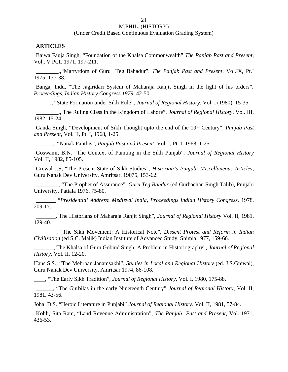(Under Credit Based Continuous Evaluation Grading System)

#### **ARTICLES**

Bajwa Fauja Singh, "Foundation of the Khalsa Commonwealth" *The Panjab Past and Present*, Vol,. V Pt.1, 1971, 197-211.

\_\_\_\_\_\_\_\_.,"Martyrdom of Guru Teg Bahadur". *The Panjab Past and Present*, Vol.IX, Pt.I 1975, 137-38.

Banga, Indu, "The Jagiridari System of Maharaja Ranjit Singh in the light of his orders", *Proceedings, Indian History Congress 1979*, 42-50.

\_\_\_\_\_., "State Formation under Sikh Rule", *Journal of Regional History*, Vol. I (1980), 15-35.

\_\_\_\_\_\_\_\_., The Ruling Class in the Kingdom of Lahore", *Journal of Regional History*, Vol. III, 1982, 15-24.

Ganda Singh, "Development of Sikh Thought upto the end of the 19th Century", *Punjab Past and Present*, Vol. II, Pt. I, 1968, 1-25.

\_\_\_\_\_\_., "Nanak Panthis", *Panjab Past and Present*, Vol. I, Pt. I, 1968, 1-25.

Goswami, B.N. "The Context of Painting in the Sikh Punjab", *Journal of Regional History* Vol. II, 1982, 85-105.

Grewal J.S, "The Present State of Sikh Studies", *Historian's Punjab: Miscellaneous Articles*, Guru Nanak Dev University, Amritsar, 19075, 153-62.

\_\_\_\_\_\_\_\_, "The Prophet of Assurance", *Guru Teg Bahdur* (ed Gurbachan Singh Talib), Punjabi University, Patiala 1976, 75-80.

\_\_\_\_\_\_\_ "*Presidential Address*: *Medieval India, Proceedings Indian History Congress,* 1978, 209-17.

\_\_\_\_\_\_\_, The Historians of Maharaja Ranjit Singh", *Journal of Regional History* Vol. II, 1981, 129-40.

\_\_\_\_\_\_\_\_, "The Sikh Movement: A Historical Note", *Dissent Protest and Reform in Indian Civilization* (ed S.C. Malik) Indian Institute of Advanced Study, Shimla 1977, 159-66.

\_\_\_\_\_\_\_, The Khalsa of Guru Gobind Singh: A Problem in Historiography", *Journal of Regional History*, Vol. II, 12-20.

Hans S.S., "The Mehrban Janamsakhi", *Studies in Local and Regional History* (ed. J.S.Grewal), Guru Nanak Dev University, Amritsar 1974, 86-108.

\_\_\_\_, "The Early Sikh Tradition", *Journal of Regional History,* Vol. I, 1980, 175-88.

\_\_\_\_\_\_, "The Gurbilas in the early Nineteenth Century" *Journal of Regional History*, Vol. II, 1981, 43-56.

Johal D.S. "Heroic Literature in Punjabi" *Journal of Regional History*. Vol. II, 1981, 57-84.

Kohli, Sita Ram, "Land Revenue Administration", *The Panjab Past and Present*, Vol. 1971, 436-53.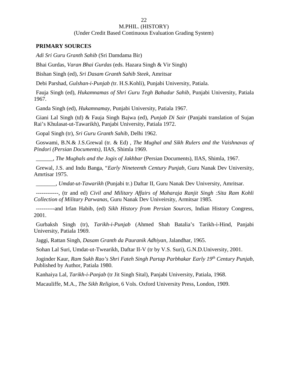#### (Under Credit Based Continuous Evaluation Grading System)

22

### **PRIMARY SOURCES**

*Adi Sri Guru Granth Sahib* (Sri Damdama Bir)

Bhai Gurdas, *Varan Bhai Gurdas* (eds. Hazara Singh & Vir Singh)

Bishan Singh (ed), *Sri Dasam Granth Sahib Steek*, Amritsar

Debi Parshad, *Gulshan-i-Punjab (*tr. H.S.Kohli), Punjabi University, Patiala.

Fauja Singh (ed), *Hukamnamas of Shri Guru Tegh Bahadur Sahib*, Punjabi University, Patiala 1967.

Ganda Singh (ed), *Hukamnamay*, Punjabi University, Patiala 1967.

Giani Lal Singh (td) & Fauja Singh Bajwa (ed), *Punjab Di Sair* (Panjabi translation of Sujan Rai's Khulasat-ut-Tawarikh), Panjabi University, Patiala 1972.

Gopal Singh (tr), *Sri Guru Granth Sahib*, Delhi 1962.

Goswami, B.N.& J.S.Grewal (tr. & Ed) , *The Mughal and Sikh Rulers and the Vaishnavas of Pindori (Persian Documents),* IIAS, Shimla 1969.

\_\_\_\_\_\_, *The Mughals and the Jogis of Jakhbar* (Persian Documents), IIAS, Shimla, 1967.

Grewal, J.S. and Indu Banga, "*Early Nineteenth Century Punjab*, Guru Nanak Dev University, Amrtisar 1975.

\_\_\_\_\_\_\_, *Umdat-ut-Tawarikh* (Punjabi tr.) Daftar II, Guru Nanak Dev University, Amritsar.

------------, (tr and ed) *Civil and Military Affairs of Maharaja Ranjit Singh :Sita Ram Kohli Collection of Military Parwanas,* Guru Nanak Dev Univeirsity, Armitsar 1985.

----------and Irfan Habib, (ed) *Sikh History from Persian Sources*, Indian History Congress, 2001.

Gurbaksh Singh (tr), *Tarikh-i-Punjab* (Ahmed Shah Batalia's Tarikh-i-Hind, Panjabi University, Patiala 1969.

Jaggi, Rattan Singh, *Dasam Granth da Pauranik Adhiyan*, Jalandhar, 1965.

Sohan Lal Suri, Umdat-ut-Twearikh, Daftar II-V (tr by V.S. Suri), G.N.D.University, 2001.

Joginder Kaur, *Ram Sukh Rao's Shri Fateh Singh Partap Parbhakar Early 19th Century Punjab*, Published by Author, Patiala 1980.

Kanhaiya Lal, *Tarikh-i-Panjab* (tr Jit Singh Sital), Panjabi University, Patiala, 1968.

Macauliffe, M.A., *The Sikh Religion*, 6 Vols. Oxford University Press, London, 1909.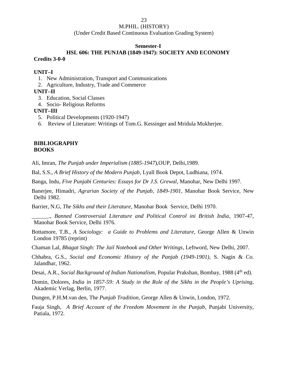(Under Credit Based Continuous Evaluation Grading System)

#### **Semester-I**

### **HSL 606: THE PUNJAB (1849-1947): SOCIETY AND ECONOMY Credits 3-0-0**

### **UNIT–I**

- 1. New Administration, Transport and Communications
- 2. Agriculture, Industry, Trade and Commerce

### **UNIT–II**

- 3. Education, Social Classes
- 4. Socio- Religious Reforms

### **UNIT–III**

- 5. Political Developments (1920-1947)
- 6. Review of Literature: Writings of Tom.G. Kessinger and Mridula Mukherjee.

### **BIBLIOGRAPHY BOOKS**

Ali, Imran, *The Punjab under Imperialism (1885-1947*),OUP, Delhi,1989.

Bal, S.S., *A Brief History of the Modern Punjab,* Lyall Book Depot, Ludhiana, 1974.

Banga, Indu, *Five Punjabi Centuries: Essays for Dr J.S. Grewal*, Manohar, New Delhi 1997.

Banerjee, Himadri, *Agrarian Society of the Punjab, 1849-1901*, Manohar Book Service, New Delhi 1982.

Barrier, N.G, *The Sikhs and their Literature*, Manohar Book Service, Delhi 1970.

\_\_\_\_\_\_., *Banned Controversial Literature and Political Control ini British India*, 1907-47, Manohar Book Service, Delhi 1976.

Bottamore, T.B., *A Sociology: a Guide to Problems and Literature*, George Allen & Unwin London 19785 (reprint)

Chaman Lal, *Bhagat Singh: The Jail Notebook and Other Writings*, Leftword, New Delhi, 2007.

Chhabra, G.S., *Social and Economic History of the Panjab (1949-1901)*, S. Nagin & Co. Jalandhar, 1962.

Desai, A.R., *Social Background of Indian Nationalism*, Popular Prakshan, Bombay, 1988 (4<sup>th</sup> ed).

Domin, Dolores, *India in 1857-59: A Study in the Role of the Sikhs in the People's Uprising*, Akademic Verlag, Berlin, 1977.

Dungen, P.H.M.van den, The *Punjab Tradition*, George Allen & Unwin, London, 1972.

Fauja Singh, *A Brief Account of the Freedom Movement in the Punjab*, Punjabi University, Patiala, 1972.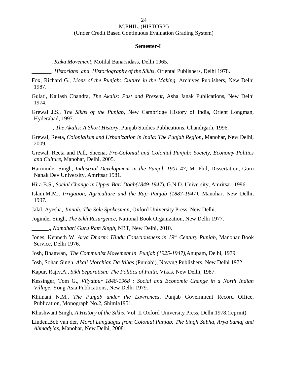#### **Semester-I**

\_\_\_\_\_\_\_, *Kuka Movement*, Motilal Banarsidass, Delhi 1965.

\_\_\_\_\_\_\_, *Historians and Historiography of the Sikhs*, Oriental Publishers, Delhi 1978.

Fox, Richard G., *Lions of the Punjab*: *Culture in the Making,* Archives Publishers, New Delhi 1987.

Gulati, Kailash Chandra, *The Akalis: Past and Present*, Asha Janak Publications, New Delhi 1974.

Grewal J.S., *The Sikhs of the Punjab*, New Cambridge History of India, Orient Longman, Hyderabad, 1997.

\_\_\_\_\_\_\_., *The Akalis: A Short History*, Punjab Studies Publications, Chandigarh, 1996.

Grewal, Reeta, *Colonialism and Urbanization in India: The Punjab Region*, Manohar, New Delhi, 2009.

Grewal, Reeta and Pall, Sheena, *Pre-Colonial and Colonial Punjab: Society, Economy Politics and Culture*, Manohar, Delhi, 2005.

Harminder Singh, *Industrial Development in the Punjab 1901-47*, M. Phil, Dissertation, Guru Nanak Dev University, Amritsar 1981.

Hira B.S*., Social Change in Upper Bari Doab(1849-1947*), G.N.D. University, Amritsar, 1996.

Islam,M.M., *Irrigation, Agriculture and the Raj: Punjab (1887-1947),* Manohar, New Delhi, 1997.

Jalal, Ayesha, *Jinnah: The Sole Spokesman*, Oxford University Press, New Delhi.

Joginder Singh, *The Sikh Resurgence*, National Book Organization, New Delhi 1977.

\_\_\_\_\_\_., *Namdhari Guru Ram Singh,* NBT, New Delhi, 2010.

Jones, Kenneth W. *Arya Dharm: Hindu Consciousness in 19th Century Punjab*, Manohar Book Service, Delhi 1976.

Josh, Bhagwan, *The Communist Movement in Punjab (1925-1947),*Anupam, Delhi, 1979.

Josh, Sohan Singh, *Akali Morchian Da Itihas* (Punjabi), Navyug Publishers, New Delhi 1972.

Kapur, Rajiv,A., *Sikh Separatism: The Politics of Faith,* Vikas, New Delhi, 1987.

Kessinger, Tom G., *Vilyatpur 1848-1968 : Social and Economic Change in a North Indian Village,* Yong Asia Publications, New Delhi 1979.

Khilnani N.M., *The Punjab under the Lawrences*, Punjab Government Record Office, Publication, Monograph No.2, Shimla1951.

Khushwant Singh, *A History of the Sikhs*, Vol. II Oxford University Press, Delhi 1978.(reprint).

Linden,Bob van der, *Moral Languages from Colonial Punjab: The Singh Sabha, Arya Samaj and Ahmadyias*, Manohar, New Delhi, 2008.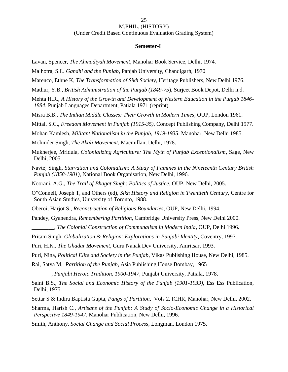#### **Semester-I**

Lavan, Spencer, *The Ahmadiyah Movement*, Manohar Book Service, Delhi, 1974.

Malhotra, S.L. *Gandhi and the Punjab*, Panjab University, Chandigarh, 1970

Marenco, Ethne K, *The Transformation of Sikh Society*, Heritage Publishers, New Delhi 1976.

Mathur, Y.B., *British Administration of the Punjab (1849-75*), Surjeet Book Depot, Delhi n.d.

Mehta H.R., *A History of the Growth and Development of Western Education in the Punjab 1846- 1884*, Punjab Languages Department, Patiala 1971 (reprint).

Misra B.B., *The Indian Middle Classes: Their Growth in Modern Times*, OUP, London 1961.

Mittal, S.C., *Freedom Movement in Punjab (1915-35),* Concept Publishing Company, Delhi 1977.

Mohan Kamlesh, *Militant Nationalism in the Punjab*, *1919-1935*, Manohar, New Delhi 1985.

Mohinder Singh, *The Akali Movement*, Macmillan, Delhi, 1978.

Mukherjee, Mridula, *Colonializing Agriculture: The Myth of Punjab Exceptionalism*, Sage, New Delhi, 2005.

Navtej Singh, *Starvation and Colonialism: A Study of Famines in the Nineteenth Century British Punjab (1858-1901),* National Book Organisation, New Delhi, 1996.

Noorani, A.G., *The Trail of Bhagat Singh: Politics of Justice*, OUP, New Delhi, 2005.

O"Connell, Joseph T, and Others (ed), *Sikh History and Religion in Twentieth Century,* Centre for South Asian Studies, University of Toronto, 1988.

Oberoi, Harjot S., *Reconstruction of Religious Boundaries*, OUP, New Delhi, 1994.

Pandey, Gyanendra, *Remembering Partition*, Cambridge University Press, New Delhi 2000.

\_\_\_\_\_\_\_\_, *The Colonial Construction of Communalism in Modern India*, OUP, Delhi 1996.

Pritam Singh, *Globalization & Religion: Explorations in Punjabi Identity*, Coventry, 1997.

Puri, H.K., *The Ghadar Movement*, Guru Nanak Dev University, Amritsar, 1993.

Puri, Nina, *Political Elite and Society in the Punjab*, Vikas Publishing House, New Delhi, 1985.

Rai, Satya M, *Partition of the Punjab*, Asia Publishing House Bombay, 1965

\_\_\_\_\_\_\_, *Punjabi Heroic Tradition, 1900-1947*, Punjabi University, Patiala, 1978.

Saini B.S., *The Social and Economic History of the Punjab (1901-1939)*, Ess Ess Publication, Delhi, 1975.

Settar S & Indira Baptista Gupta, *Pangs of Partition,* Vols 2, ICHR, Manohar, New Delhi, 2002.

Sharma, Harish C., *Artisans of the Punjab: A Study of Socio-Economic Change in a Historical Perspective 1849-1947*, Manohar Publication, New Delhi, 1996.

Smith, Anthony, *Social Change and Social Process*, Longman, London 1975.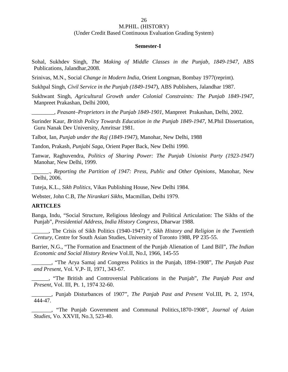#### (Under Credit Based Continuous Evaluation Grading System)

26

### **Semester-I**

Sohal, Sukhdev Singh, *The Making of Middle Classes in the Punjab, 1849-1947*, ABS Publications, Jalandhar,2008.

Srinivas, M.N., Social *Change in Modern India*, Orient Longman, Bombay 1977(reprint).

Sukhpal Singh, *Civil Service in the Punjab (1849-1947*), ABS Publishers, Jalandhar 1987.

Sukhwant Singh, *Agricultural Growth under Colonial Constraints: The Punjab 1849-1947*, Manpreet Prakashan, Delhi 2000,

\_\_\_\_\_\_\_\_, *Peasant–Proprietors in the Punjab 1849-1901*, Manpreet Prakashan, Delhi, 2002.

Surinder Kaur, *British Policy Towards Education in the Punjab 1849-1947*, M.Phil Dissertation, Guru Nanak Dev University, Amritsar 1981.

Talbot, Ian, *Punjab under the Raj (1849-1947)*, Manohar, New Delhi, 1988

Tandon, Prakash, *Punjabi Saga*, Orient Paper Back, New Delhi 1990.

Tanwar, Raghuvendra, *Politics of Sharing Power: The Punjab Unionist Party (1923-1947)* Manohar, New Delhi, 1999.

\_\_\_\_\_\_., *Reporting the Partition of 1947: Press, Public and Other Opinions*, Manohar, New Delhi, 2006.

Tuteja, K.L., *Sikh Politics*, Vikas Publishing House, New Delhi 1984.

Webster, John C.B, *The Nirankari Sikhs*, Macmillan, Delhi 1979.

### **ARTICLES**

Banga, Indu, "Social Structure, Religious Ideology and Political Articulation: The Sikhs of the Punjab", *Presidential Address, India History Congress*, Dharwar 1988.

\_\_\_\_\_\_, The Crisis of Sikh Politics (1940-1947) ", *Sikh History and Religion in the Twentieth Century,* Centre for South Asian Studies, University of Toronto 1988, PP 235-55.

Barrier, N.G., "The Formation and Enactment of the Punjab Alienation of Land Bill", *The Indian Economic and Social History Review* Vol.II, No.I, 1966, 145-55

\_\_\_\_\_\_\_, "The Arya Samaj and Congress Politics in the Punjab, 1894-1908", *The Panjab Past and Present,* Vol. V,P- II, 1971, 343-67.

\_\_\_\_\_\_, "The British and Controversial Publications in the Punjab", *The Panjab Past and Present*, Vol. III, Pt. 1, 1974 32-60.

\_\_\_\_\_\_\_, Punjab Disturbances of 1907", *The Panjab Past and Present* Vol.III, Pt. 2, 1974,  $444 - 47$ 

\_\_\_\_\_\_\_, "The Punjab Government and Communal Politics,1870-1908", *Journal of Asian Studies,* Vo. XXVII, No.3, 523-40.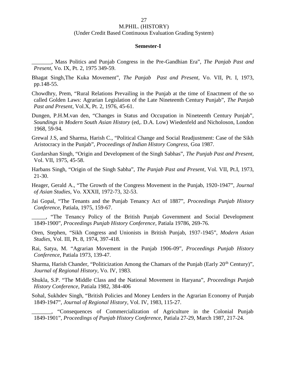#### 27

### M.PHIL. (HISTORY)

#### (Under Credit Based Continuous Evaluation Grading System)

#### **Semester-I**

\_\_\_\_\_\_\_, Mass Politics and Punjab Congress in the Pre-Gandhian Era", *The Panjab Past and Present*, Vo. IX, Pt. 2, 1975 349-59.

- Bhagat Singh,The Kuka Movement", *The Panjab Past and Present,* Vo. VII, Pt. I, 1973, pp.148-55.
- Chowdhry, Prem, "Rural Relations Prevailing in the Punjab at the time of Enactment of the so called Golden Laws: Agrarian Legislation of the Late Nineteenth Century Punjab", *The Panjab Past and Present*, Vol.X, Pt. 2, 1976, 45-61.
- Dungen, P.H.M.van den, "Changes in Status and Occupation in Nineteenth Century Punjab", *Soundings in Modern South Asian History* (ed,. D.A. Low) Wiedenfeld and Nicholoson, London 1968, 59-94.
- Grewal J.S, and Sharma, Harish C., "Political Change and Social Readjustment: Case of the Sikh Aristocracy in the Punjab", *Proceedings of Indian History Congress,* Goa 1987.
- Gurdarshan Singh, "Origin and Development of the Singh Sabhas", *The Punjab Past and Present,* Vol. VII, 1975, 45-58.
- Harbans Singh, "Origin of the Singh Sabha", *The Panjab Past and Present*, Vol. VII, Pt.I, 1973, 21-30.
- Heager, Gerald A., "The Growth of the Congress Movement in the Punjab, 1920-1947", *Journal of Asian Studies*, Vo. XXXII, 1972-73, 32-53.
- Jai Gopal, "The Tenants and the Punjab Tenancy Act of 1887", *Proceedings Punjab History Conference,* Patiala, 1975, 159-67.
- \_\_\_\_\_, "The Tenancy Policy of the British Punjab Government and Social Development 1849-1900", *Proceedings Punjab History Conference*, Patiala 19786, 269-76.
- Oren, Stephen, "Sikh Congress and Unionists in British Punjab, 1937-1945", *Modern Asian Studies*, Vol. III, Pt. 8, 1974, 397-418.
- Rai, Satya, M. "Agrarian Movement in the Punjab 1906-09", *Proceedings Punjab History Conference*, Patiala 1973, 139-47.
- Sharma, Harish Chander, "Politicization Among the Chamars of the Punjab (Early 20<sup>th</sup> Century)", *Journal of Regional History*, Vo. IV, 1983.
- Shukla, S.P. "The Middle Class and the National Movement in Haryana", *Proceedings Punjab History Conference*, Patiala 1982, 384-406
- Sohal, Sukhdev Singh, "British Policies and Money Lenders in the Agrarian Economy of Punjab 1849-1947", *Journal of Regional History*, Vol. IV, 1983, 115-27.

\_\_\_\_\_\_\_, "Consequences of Commercialization of Agriculture in the Colonial Punjab 1849-1901", *Proceedings of Punjab History Conference,* Patiala 27-29, March 1987, 217-24.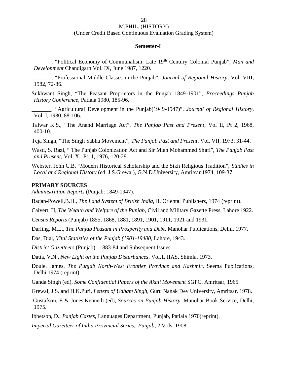(Under Credit Based Continuous Evaluation Grading System)

### **Semester-I**

\_\_\_\_\_\_\_, "Political Economy of Communalism: Late 19th Century Colonial Punjab", *Man and Development* Chandigarh Vol. IX, June 1987, 1220.

\_\_\_\_\_\_\_, "Professional Middle Classes in the Punjab", *Journal of Regional History*, Vol. VIII, 1982, 72-86.

Sukhwant Singh, "The Peasant Proprietors in the Punjab 1849-1901", *Proceedings Punjab History Conference*, Patiala 1980, 185-96.

\_\_\_\_\_\_\_, "Agricultural Development in the Punjab(1949-1947)", *Journal of Regional History*, Vol. I, 1980, 88-106.

Talwar K.S., "The Anand Marriage Act", *The Panjab Past and Present*, Vol II, Pt 2, 1968, 400-10.

Teja Singh, "The Singh Sabha Movement", *The Panjab Past and Present*, Vol. VII, 1973, 31-44.

Wasti, S. Razi, " The Punjab Colonization Act and Sir Mian Mohammed Shafi", *The Panjab Past and Present,* Vol. X, Pt. 1, 1976, 120-29.

Webster, John C.B. "Modern Historical Scholarship and the Sikh Religious Tradition", *Studies in Local and Regional History* (ed. J.S.Grewal), G.N.D.University, Amritsar 1974, 109-37.

### **PRIMARY SOURCES**

*Administration Reports* (Punjab: 1849-1947).

Badan-Powell,B.H., *The Land System of British India*, II, Oriental Publishers, 1974 (reprint).

Calvert, H, *The Wealth and Welfare of the Punjab*, Civil and Military Gazette Press, Lahore 1922.

*Census Reports* (Punjab) 1855, 1868, 1881, 1891, 1901, 1911, 1921 and 1931.

Darling, M.L., *The Panjab Peasant in Prosperity and Debt*, Manohar Publications, Delhi, 1977.

Das, Dial, *Vital Statistics of the Punjab (1901-19400,* Lahore, 1943.

*District Gazetteers* (Punjab), 1883-84 and Subsequent Issues.

Datta, V.N., *New Light on the Punjab Disturbances*, Vol.1, IIAS, Shimla, 1973.

Douie, James, *The Punjab North-West Frontier Province and Kashmir*, Seema Publications, Delhi 1974 (reprint).

Ganda Singh (ed), *Some Confidential Papers of the Akali Movement* SGPC, Amritsar, 1965.

Grewal, J.S. and H.K.Puri, *Letters of Udham Singh*, Guru Nanak Dev University, Amritsar, 1978.

Gustafson, E & Jones,Kenneth (ed), *Sources on Punjab History,* Manohar Book Service, Delhi, 1975.

Ibbetson, D., *Panjab Castes*, Languages Department, Punjab, Patiala 1970(reprint).

*Imperial Gazetteer of India Provincial Series, Punjab*, 2 Vols. 1908.